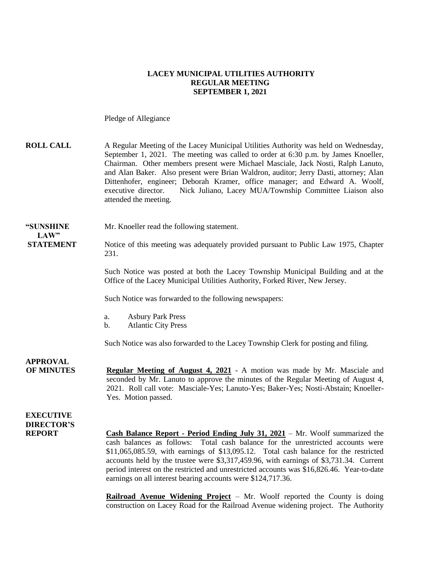### **LACEY MUNICIPAL UTILITIES AUTHORITY REGULAR MEETING SEPTEMBER 1, 2021**

Pledge of Allegiance

| <b>ROLL CALL</b>                                       | A Regular Meeting of the Lacey Municipal Utilities Authority was held on Wednesday,<br>September 1, 2021. The meeting was called to order at 6:30 p.m. by James Knoeller,<br>Chairman. Other members present were Michael Masciale, Jack Nosti, Ralph Lanuto,<br>and Alan Baker. Also present were Brian Waldron, auditor; Jerry Dasti, attorney; Alan<br>Dittenhofer, engineer; Deborah Kramer, office manager; and Edward A. Woolf,<br>Nick Juliano, Lacey MUA/Township Committee Liaison also<br>executive director.<br>attended the meeting. |
|--------------------------------------------------------|--------------------------------------------------------------------------------------------------------------------------------------------------------------------------------------------------------------------------------------------------------------------------------------------------------------------------------------------------------------------------------------------------------------------------------------------------------------------------------------------------------------------------------------------------|
| "SUNSHINE<br>LAW"                                      | Mr. Knoeller read the following statement.                                                                                                                                                                                                                                                                                                                                                                                                                                                                                                       |
| <b>STATEMENT</b>                                       | Notice of this meeting was adequately provided pursuant to Public Law 1975, Chapter<br>231.                                                                                                                                                                                                                                                                                                                                                                                                                                                      |
|                                                        | Such Notice was posted at both the Lacey Township Municipal Building and at the<br>Office of the Lacey Municipal Utilities Authority, Forked River, New Jersey.                                                                                                                                                                                                                                                                                                                                                                                  |
|                                                        | Such Notice was forwarded to the following newspapers:                                                                                                                                                                                                                                                                                                                                                                                                                                                                                           |
|                                                        | <b>Asbury Park Press</b><br>a.<br><b>Atlantic City Press</b><br>b.                                                                                                                                                                                                                                                                                                                                                                                                                                                                               |
|                                                        | Such Notice was also forwarded to the Lacey Township Clerk for posting and filing.                                                                                                                                                                                                                                                                                                                                                                                                                                                               |
| <b>APPROVAL</b><br><b>OF MINUTES</b>                   | <b>Regular Meeting of August 4, 2021</b> - A motion was made by Mr. Masciale and<br>seconded by Mr. Lanuto to approve the minutes of the Regular Meeting of August 4,<br>2021. Roll call vote: Masciale-Yes; Lanuto-Yes; Baker-Yes; Nosti-Abstain; Knoeller-<br>Yes. Motion passed.                                                                                                                                                                                                                                                              |
| <b>EXECUTIVE</b><br><b>DIRECTOR'S</b><br><b>REPORT</b> | <b>Cash Balance Report - Period Ending July 31, 2021</b> – Mr. Woolf summarized the<br>cash balances as follows: Total cash balance for the unrestricted accounts were<br>\$11,065,085.59, with earnings of \$13,095.12. Total cash balance for the restricted<br>accounts held by the trustee were \$3,317,459.96, with earnings of \$3,731.34. Current<br>period interest on the restricted and unrestricted accounts was \$16,826.46. Year-to-date<br>earnings on all interest bearing accounts were \$124,717.36.                            |

**Railroad Avenue Widening Project** – Mr. Woolf reported the County is doing construction on Lacey Road for the Railroad Avenue widening project. The Authority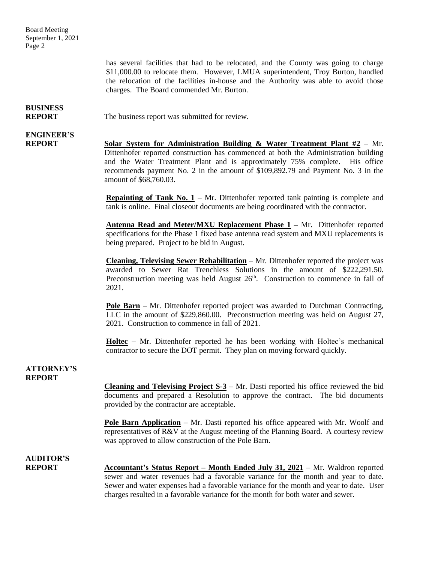Board Meeting September 1, 2021 Page 2

> has several facilities that had to be relocated, and the County was going to charge \$11,000.00 to relocate them. However, LMUA superintendent, Troy Burton, handled the relocation of the facilities in-house and the Authority was able to avoid those charges. The Board commended Mr. Burton.

## **BUSINESS**

**REPORT** The business report was submitted for review.

# **ENGINEER'S**

**REPORT Solar System for Administration Building & Water Treatment Plant #2** – Mr. Dittenhofer reported construction has commenced at both the Administration building and the Water Treatment Plant and is approximately 75% complete. His office recommends payment No. 2 in the amount of \$109,892.79 and Payment No. 3 in the amount of \$68,760.03.

> **Repainting of Tank No. 1** – Mr. Dittenhofer reported tank painting is complete and tank is online. Final closeout documents are being coordinated with the contractor.

> **Antenna Read and Meter/MXU Replacement Phase 1 –** Mr. Dittenhofer reported specifications for the Phase 1 fixed base antenna read system and MXU replacements is being prepared. Project to be bid in August.

> **Cleaning, Televising Sewer Rehabilitation** – Mr. Dittenhofer reported the project was awarded to Sewer Rat Trenchless Solutions in the amount of \$222,291.50. Preconstruction meeting was held August  $26<sup>th</sup>$ . Construction to commence in fall of 2021.

> **Pole Barn** – Mr. Dittenhofer reported project was awarded to Dutchman Contracting, LLC in the amount of \$229,860.00. Preconstruction meeting was held on August 27, 2021. Construction to commence in fall of 2021.

> **Holtec** – Mr. Dittenhofer reported he has been working with Holtec's mechanical contractor to secure the DOT permit. They plan on moving forward quickly.

### **ATTORNEY'S REPORT**

**Cleaning and Televising Project S-3** – Mr. Dasti reported his office reviewed the bid documents and prepared a Resolution to approve the contract. The bid documents provided by the contractor are acceptable.

**Pole Barn Application** – Mr. Dasti reported his office appeared with Mr. Woolf and representatives of R&V at the August meeting of the Planning Board. A courtesy review was approved to allow construction of the Pole Barn.

### **AUDITOR'S**

**REPORT Accountant's Status Report – Month Ended July 31, 2021** – Mr. Waldron reported sewer and water revenues had a favorable variance for the month and year to date. Sewer and water expenses had a favorable variance for the month and year to date. User charges resulted in a favorable variance for the month for both water and sewer.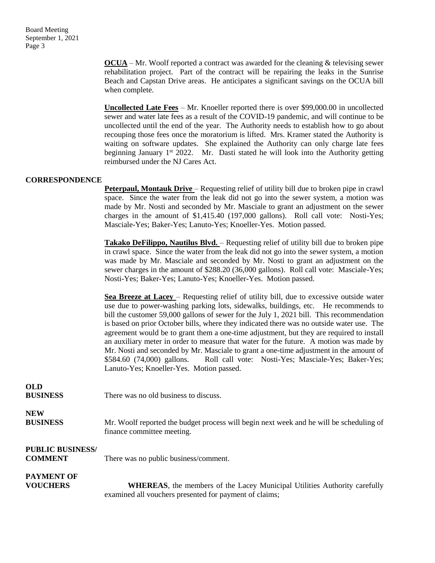Board Meeting September 1, 2021 Page 3

> **OCUA** – Mr. Woolf reported a contract was awarded for the cleaning & televising sewer rehabilitation project. Part of the contract will be repairing the leaks in the Sunrise Beach and Capstan Drive areas. He anticipates a significant savings on the OCUA bill when complete.

> **Uncollected Late Fees** – Mr. Knoeller reported there is over \$99,000.00 in uncollected sewer and water late fees as a result of the COVID-19 pandemic, and will continue to be uncollected until the end of the year. The Authority needs to establish how to go about recouping those fees once the moratorium is lifted. Mrs. Kramer stated the Authority is waiting on software updates. She explained the Authority can only charge late fees beginning January 1<sup>st</sup> 2022. Mr. Dasti stated he will look into the Authority getting reimbursed under the NJ Cares Act.

#### **CORRESPONDENCE**

**Peterpaul, Montauk Drive** – Requesting relief of utility bill due to broken pipe in crawl space. Since the water from the leak did not go into the sewer system, a motion was made by Mr. Nosti and seconded by Mr. Masciale to grant an adjustment on the sewer charges in the amount of \$1,415.40 (197,000 gallons). Roll call vote: Nosti-Yes; Masciale-Yes; Baker-Yes; Lanuto-Yes; Knoeller-Yes. Motion passed.

**Takako DeFilippo, Nautilus Blvd.** – Requesting relief of utility bill due to broken pipe in crawl space. Since the water from the leak did not go into the sewer system, a motion was made by Mr. Masciale and seconded by Mr. Nosti to grant an adjustment on the sewer charges in the amount of \$288.20 (36,000 gallons). Roll call vote: Masciale-Yes; Nosti-Yes; Baker-Yes; Lanuto-Yes; Knoeller-Yes. Motion passed.

**Sea Breeze at Lacey** – Requesting relief of utility bill, due to excessive outside water use due to power-washing parking lots, sidewalks, buildings, etc. He recommends to bill the customer 59,000 gallons of sewer for the July 1, 2021 bill. This recommendation is based on prior October bills, where they indicated there was no outside water use. The agreement would be to grant them a one-time adjustment, but they are required to install an auxiliary meter in order to measure that water for the future. A motion was made by Mr. Nosti and seconded by Mr. Masciale to grant a one-time adjustment in the amount of \$584.60 (74,000) gallons. Roll call vote: Nosti-Yes; Masciale-Yes; Baker-Yes; Lanuto-Yes; Knoeller-Yes. Motion passed.

| <b>OLD</b><br><b>BUSINESS</b>             | There was no old business to discuss.                                                   |
|-------------------------------------------|-----------------------------------------------------------------------------------------|
| <b>NEW</b>                                | Mr. Woolf reported the budget process will begin next week and he will be scheduling of |
| <b>BUSINESS</b>                           | finance committee meeting.                                                              |
| <b>PUBLIC BUSINESS/</b><br><b>COMMENT</b> | There was no public business/comment.                                                   |
| <b>PAYMENT OF</b>                         | <b>WHEREAS</b> , the members of the Lacey Municipal Utilities Authority carefully       |
| <b>VOUCHERS</b>                           | examined all vouchers presented for payment of claims;                                  |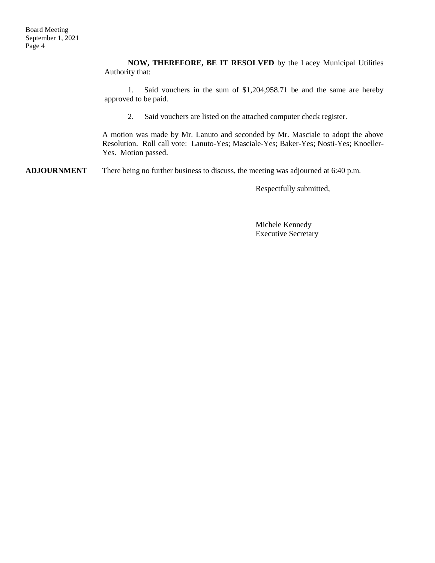**NOW, THEREFORE, BE IT RESOLVED** by the Lacey Municipal Utilities Authority that:

1. Said vouchers in the sum of \$1,204,958.71 be and the same are hereby approved to be paid.

2. Said vouchers are listed on the attached computer check register.

A motion was made by Mr. Lanuto and seconded by Mr. Masciale to adopt the above Resolution. Roll call vote: Lanuto-Yes; Masciale-Yes; Baker-Yes; Nosti-Yes; Knoeller-Yes. Motion passed.

**ADJOURNMENT** There being no further business to discuss, the meeting was adjourned at 6:40 p.m.

Respectfully submitted,

Michele Kennedy Executive Secretary